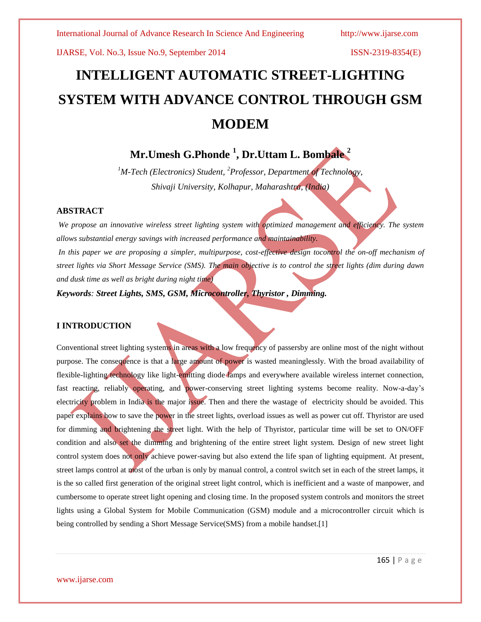# **INTELLIGENT AUTOMATIC STREET-LIGHTING SYSTEM WITH ADVANCE CONTROL THROUGH GSM MODEM**

# **Mr.Umesh G.Phonde <sup>1</sup> , Dr.Uttam L. Bombale <sup>2</sup>**

*<sup>1</sup>M-Tech (Electronics) Student, <sup>2</sup>Professor, Department of Technology, Shivaji University, Kolhapur, Maharashtra, (India)*

### **ABSTRACT**

*We propose an innovative wireless street lighting system with optimized management and efficiency. The system allows substantial energy savings with increased performance and maintainability.* In this paper we are proposing a simpler, multipurpose, cost-effective design tocontrol the on-off mechanism of *street lights via Short Message Service (SMS). The main objective is to control the street lights (dim during dawn and dusk time as well as bright during night time)*

*Keywords: Street Lights, SMS, GSM, Microcontroller, Thyristor , Dimming.*

### **I INTRODUCTION**

Conventional street lighting systems in areas with a low frequency of passersby are online most of the night without purpose. The consequence is that a large amount of power is wasted meaninglessly. With the broad availability of flexible-lighting technology like light-emitting diode lamps and everywhere available wireless internet connection, fast reacting, reliably operating, and power-conserving street lighting systems become reality. Now-a-day's electricity problem in India is the major issue. Then and there the wastage of electricity should be avoided. This paper explains how to save the power in the street lights, overload issues as well as power cut off. Thyristor are used for dimming and brightening the street light. With the help of Thyristor, particular time will be set to ON/OFF condition and also set the dimming and brightening of the entire street light system. Design of new street light control system does not only achieve power-saving but also extend the life span of lighting equipment. At present, street lamps control at most of the urban is only by manual control, a control switch set in each of the street lamps, it is the so called first generation of the original street light control, which is inefficient and a waste of manpower, and cumbersome to operate street light opening and closing time. In the proposed system controls and monitors the street lights using a Global System for Mobile Communication (GSM) module and a microcontroller circuit which is being controlled by sending a Short Message Service(SMS) from a mobile handset.[1]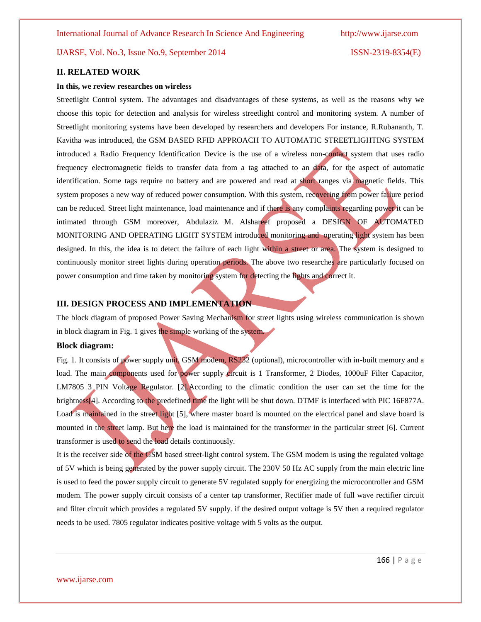#### **II. RELATED WORK**

#### **In this, we review researches on wireless**

Streetlight Control system. The advantages and disadvantages of these systems, as well as the reasons why we choose this topic for detection and analysis for wireless streetlight control and monitoring system. A number of Streetlight monitoring systems have been developed by researchers and developers For instance, R.Rubananth, T. Kavitha was introduced, the GSM BASED RFID APPROACH TO AUTOMATIC STREETLIGHTING SYSTEM introduced a Radio Frequency Identification Device is the use of a wireless non-contact system that uses radio frequency electromagnetic fields to transfer data from a tag attached to an data, for the aspect of automatic identification. Some tags require no battery and are powered and read at short ranges via magnetic fields. This system proposes a new way of reduced power consumption. With this system, recovering from power failure period can be reduced. Street light maintenance, load maintenance and if there is any complaints regarding power it can be intimated through GSM moreover, Abdulaziz M. Alshareef proposed a DESIGN OF AUTOMATED MONITORING AND OPERATING LIGHT SYSTEM introduced monitoring and operating light system has been designed. In this, the idea is to detect the failure of each light within a street or area. The system is designed to continuously monitor street lights during operation periods. The above two researches are particularly focused on power consumption and time taken by monitoring system for detecting the lights and correct it.

#### **III. DESIGN PROCESS AND IMPLEMENTATION**

The block diagram of proposed Power Saving Mechanism for street lights using wireless communication is shown in block diagram in Fig. 1 gives the simple working of the system.

#### **Block diagram:**

Fig. 1. It consists of power supply unit, GSM modem, RS232 (optional), microcontroller with in-built memory and a load. The main components used for power supply circuit is 1 Transformer, 2 Diodes, 1000uF Filter Capacitor, LM7805 3 PIN Voltage Regulator. [2]. According to the climatic condition the user can set the time for the brightness[4]. According to the predefined time the light will be shut down. DTMF is interfaced with PIC 16F877A. Load is maintained in the street light [5], where master board is mounted on the electrical panel and slave board is mounted in the street lamp. But here the load is maintained for the transformer in the particular street [6]. Current transformer is used to send the load details continuously.

It is the receiver side of the GSM based street-light control system. The GSM modem is using the regulated voltage of 5V which is being generated by the power supply circuit. The 230V 50 Hz AC supply from the main electric line is used to feed the power supply circuit to generate 5V regulated supply for energizing the microcontroller and GSM modem. The power supply circuit consists of a center tap transformer, Rectifier made of full wave rectifier circuit and filter circuit which provides a regulated 5V supply. if the desired output voltage is 5V then a required regulator needs to be used. 7805 regulator indicates positive voltage with 5 volts as the output.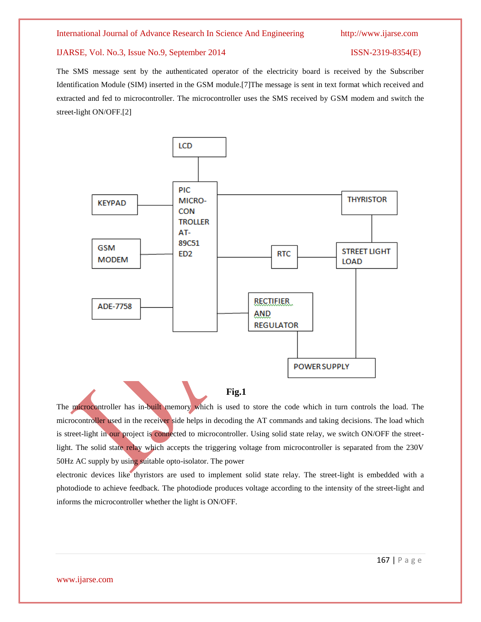The SMS message sent by the authenticated operator of the electricity board is received by the Subscriber Identification Module (SIM) inserted in the GSM module.[7]The message is sent in text format which received and extracted and fed to microcontroller. The microcontroller uses the SMS received by GSM modem and switch the street-light ON/OFF.[2]



### **Fig.1**

The microcontroller has in-built memory which is used to store the code which in turn controls the load. The microcontroller used in the receiver side helps in decoding the AT commands and taking decisions. The load which is street-light in our project is connected to microcontroller. Using solid state relay, we switch ON/OFF the streetlight. The solid state relay which accepts the triggering voltage from microcontroller is separated from the 230V 50Hz AC supply by using suitable opto-isolator. The power

electronic devices like thyristors are used to implement solid state relay. The street-light is embedded with a photodiode to achieve feedback. The photodiode produces voltage according to the intensity of the street-light and informs the microcontroller whether the light is ON/OFF.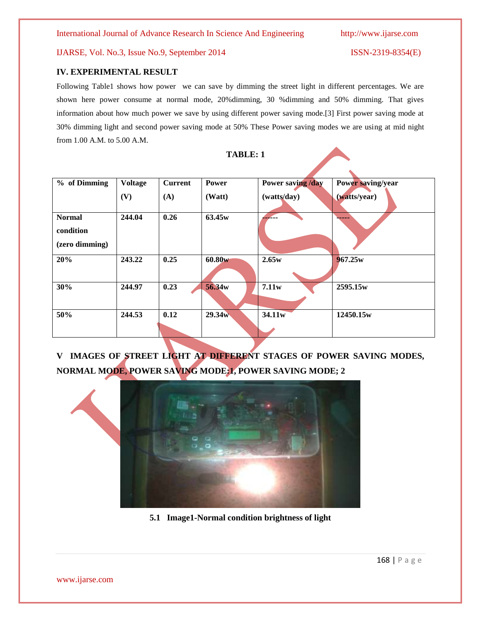#### **IV. EXPERIMENTAL RESULT**

Following Table1 shows how power we can save by dimming the street light in different percentages. We are shown here power consume at normal mode, 20%dimming, 30 %dimming and 50% dimming. That gives information about how much power we save by using different power saving mode.[3] First power saving mode at 30% dimming light and second power saving mode at 50% These Power saving modes we are using at mid night from 1.00 A.M. to 5.00 A.M.

**TABLE: 1**

| % of Dimming                                 | <b>Voltage</b> | <b>Current</b> | Power  | Power saving /day | Power saving/year |
|----------------------------------------------|----------------|----------------|--------|-------------------|-------------------|
|                                              | (V)            | (A)            | (Watt) | (watts/day)       | (watts/year)      |
| <b>Normal</b><br>condition<br>(zero dimming) | 244.04         | 0.26           | 63.45w | <u> 2002 - 19</u> | -----             |
| 20%                                          | 243.22         | 0.25           | 60.80w | 2.65w             | 967.25w           |
| 30%                                          | 244.97         | 0.23           | 56.34w | 7.11w             | 2595.15w          |
| 50%                                          | 244.53         | 0.12           | 29.34w | 34.11w            | 12450.15w         |

# **V IMAGES OF STREET LIGHT AT DIFFERENT STAGES OF POWER SAVING MODES, NORMAL MODE, POWER SAVING MODE:1, POWER SAVING MODE; 2**



**5.1 Image1-Normal condition brightness of light**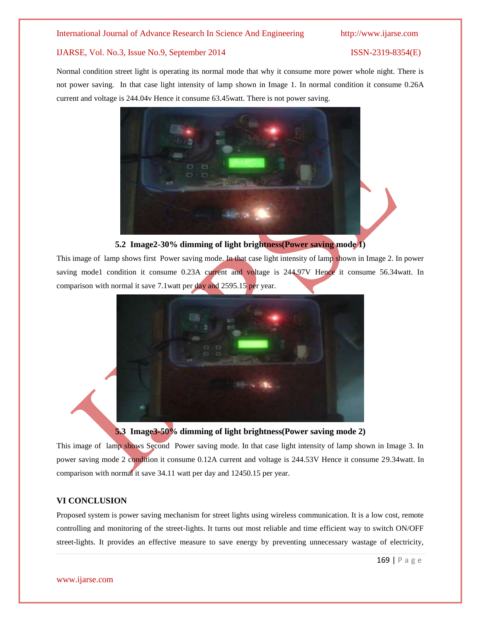Normal condition street light is operating its normal mode that why it consume more power whole night. There is not power saving. In that case light intensity of lamp shown in Image 1. In normal condition it consume 0.26A current and voltage is 244.04v Hence it consume 63.45watt. There is not power saving.



### **5.2 Image2-30% dimming of light brightness(Power saving mode 1)**

This image of lamp shows first Power saving mode. In that case light intensity of lamp shown in Image 2. In power saving mode1 condition it consume 0.23A current and voltage is 244.97V Hence it consume 56.34watt. In comparison with normal it save 7.1watt per day and 2595.15 per year.





This image of lamp shows Second Power saving mode. In that case light intensity of lamp shown in Image 3. In power saving mode 2 condition it consume 0.12A current and voltage is 244.53V Hence it consume 29.34watt. In comparison with normal it save 34.11 watt per day and 12450.15 per year.

### **VI CONCLUSION**

Proposed system is power saving mechanism for street lights using wireless communication. It is a low cost, remote controlling and monitoring of the street-lights. It turns out most reliable and time efficient way to switch ON/OFF street-lights. It provides an effective measure to save energy by preventing unnecessary wastage of electricity,